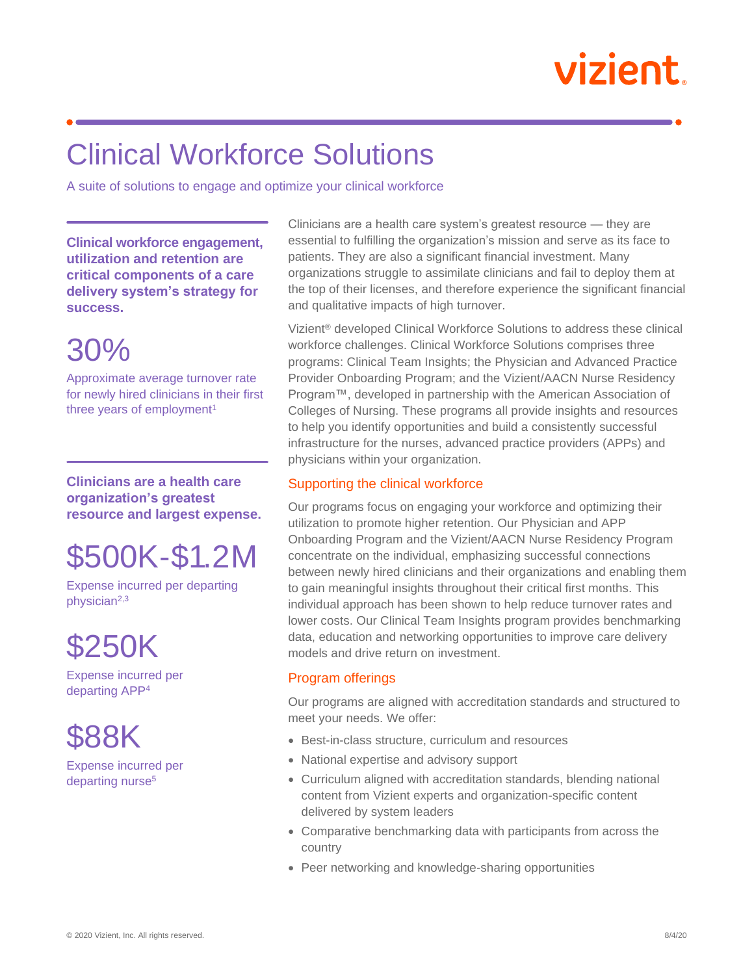# vizient.

### Clinical Workforce Solutions

A suite of solutions to engage and optimize your clinical workforce

**Clinical workforce engagement, utilization and retention are critical components of a care delivery system's strategy for success.**

### 30%

Approximate average turnover rate for newly hired clinicians in their first three years of employment<sup>1</sup>

**Clinicians are a health care organization's greatest resource and largest expense.**

## \$500K-\$1.2M

Expense incurred per departing physician2,3

\$250K

Expense incurred per departing APP<sup>4</sup>

\$88K

Expense incurred per departing nurse<sup>5</sup>

Clinicians are a health care system's greatest resource — they are essential to fulfilling the organization's mission and serve as its face to patients. They are also a significant financial investment. Many organizations struggle to assimilate clinicians and fail to deploy them at the top of their licenses, and therefore experience the significant financial and qualitative impacts of high turnover.

Vizient® developed Clinical Workforce Solutions to address these clinical workforce challenges. Clinical Workforce Solutions comprises three programs: Clinical Team Insights; the Physician and Advanced Practice Provider Onboarding Program; and the Vizient/AACN Nurse Residency Program™, developed in partnership with the American Association of Colleges of Nursing. These programs all provide insights and resources to help you identify opportunities and build a consistently successful infrastructure for the nurses, advanced practice providers (APPs) and physicians within your organization.

#### Supporting the clinical workforce

Our programs focus on engaging your workforce and optimizing their utilization to promote higher retention. Our Physician and APP Onboarding Program and the Vizient/AACN Nurse Residency Program concentrate on the individual, emphasizing successful connections between newly hired clinicians and their organizations and enabling them to gain meaningful insights throughout their critical first months. This individual approach has been shown to help reduce turnover rates and lower costs. Our Clinical Team Insights program provides benchmarking data, education and networking opportunities to improve care delivery models and drive return on investment.

#### Program offerings

Our programs are aligned with accreditation standards and structured to meet your needs. We offer:

- Best-in-class structure, curriculum and resources
- National expertise and advisory support
- Curriculum aligned with accreditation standards, blending national content from Vizient experts and organization-specific content delivered by system leaders
- Comparative benchmarking data with participants from across the country
- Peer networking and knowledge-sharing opportunities